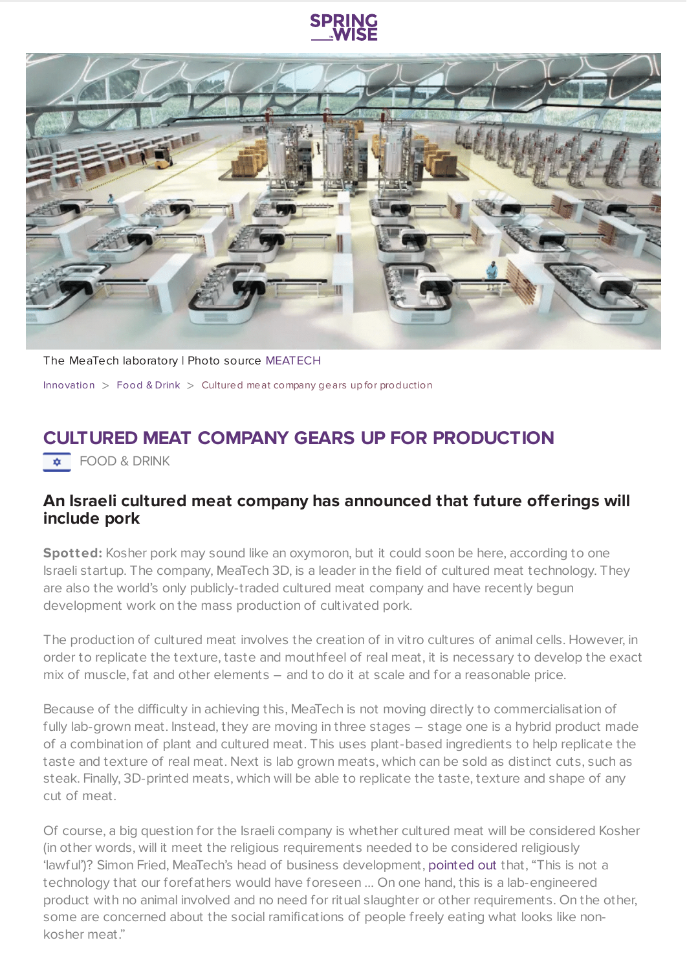

The MeaTech laboratory | Photo source [MEATECH](https://meatech3d.com/#why)

[Innovation](https://www.springwise.com/search?type=innovation)  $>$  [Food](https://www.springwise.com/search?type=innovation§or=food-and-drink) & Drink  $>$  Cultured meat company gears up for production

## **CULTURED MEAT COMPANY GEARS UP FOR PRODUCTION**

 $\overline{\bullet}$  FOOD & DRINK

## **An Israeli cultured meat company has announced that future offerings will include pork**

Spotted: Kosher pork may sound like an oxymoron, but it could soon be here, according to one Israeli startup. The company, MeaTech 3D, is a leader in the field of cultured meat technology. They are also the world's only publicly-traded cultured meat company and have recently begun development work on the mass production of cultivated pork.

The production of cultured meat involves the creation of in vitro cultures of animal cells. However, in order to replicate the texture, taste and mouthfeel of real meat, it is necessary to develop the exact mix of muscle, fat and other elements – and to do it at scale and for a reasonable price.

Because of the difficulty in achieving this, MeaTech is not moving directly to commercialisation of fully lab-grown meat. Instead, they are moving in three stages - stage one is a hybrid product made of a combination of plant and cultured meat. This uses plant-based ingredients to help replicate the taste and texture of real meat. Next is lab grown meats, which can be sold as distinct cuts, such as steak. Finally, 3D-printed meats, which will be able to replicate the taste, texture and shape of any cut of meat.

Of course, a big question for the Israeli company is whether cultured meat will be considered Kosher (in other words, will it meet the religious requirements needed to be considered religiously 'lawful')? Simon Fried, MeaTech's head of business development, [pointed](https://www.jpost.com/israel-news/kosher-lab-grown-pork-from-israels-growing-cultured-meat-sector-673488) out that, "This is not a technology that our forefathers would have foreseen … On one hand, this is a lab-engineered product with no animal involved and no need for ritual slaughter or other requirements. On the other, some are concerned about the social ramifications of people freely eating what looks like nonkosher meat."